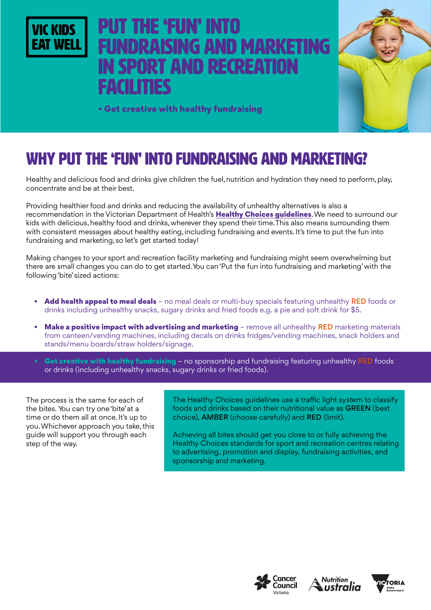

# Put the 'fun' into NDRAISING AND MARKETING **SPORT AND RECREATION** facilities



• Get creative with healthy fundraising

## WHY PUT THE 'FUN' INTO FUNDRAISING AND MARKETING?

Healthy and delicious food and drinks give children the fuel, nutrition and hydration they need to perform, play, concentrate and be at their best.

Providing healthier food and drinks and reducing the availability of unhealthy alternatives is also a recommendation in the Victorian Department of Health's [Healthy Choices guidelines](https://www2.health.vic.gov.au/public-health/preventive-health/nutrition/healthy-choices-for-retail-outlets-vending-machines-catering). We need to surround our kids with delicious, healthy food and drinks, wherever they spend their time. This also means surrounding them with consistent messages about healthy eating, including fundraising and events. It's time to put the fun into fundraising and marketing, so let's get started today!

Making changes to your sport and recreation facility marketing and fundraising might seem overwhelming but there are small changes you can do to get started. You can 'Put the fun into fundraising and marketing' with the following 'bite' sized actions:

- Add health appeal to meal deals no meal deals or multi-buy specials featuring unhealthy RED foods or drinks including unhealthy snacks, sugary drinks and fried foods e.g. a pie and soft drink for \$5.
- Make a positive impact with advertising and marketing remove all unhealthy RED marketing materials from canteen/vending machines, including decals on drinks fridges/vending machines, snack holders and stands/menu boards/straw holders/signage.
- Get creative with healthy fundraising no sponsorship and fundraising featuring unhealthy RED foods or drinks (including unhealthy snacks, sugary drinks or fried foods).

The process is the same for each of the bites. You can try one 'bite' at a time or do them all at once. It's up to you. Whichever approach you take, this guide will support you through each step of the way.

The Healthy Choices guidelines use a traffic light system to classify foods and drinks based on their nutritional value as GREEN (best choice), AMBER (choose carefully) and RED (limit).

Achieving all bites should get you close to or fully achieving the Healthy Choices standards for sport and recreation centres relating to advertising, promotion and display, fundraising activities, and sponsorship and marketing.





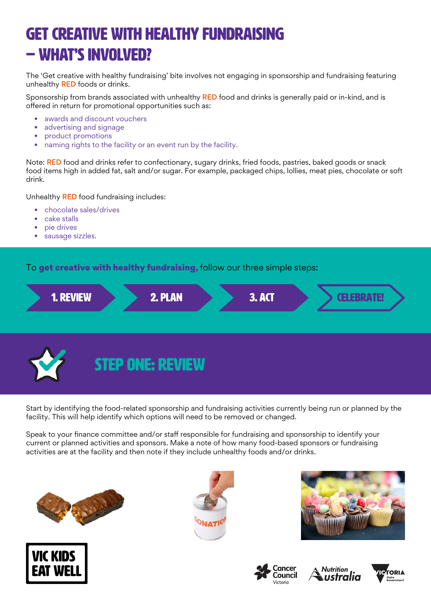# GET CREATIVE WITH HEALTHY FUNDRAISING – WHAT'S INVOLVED?

The 'Get creative with healthy fundraising' bite involves not engaging in sponsorship and fundraising featuring unhealthy **RED** foods or drinks.

Sponsorship from brands associated with unhealthy RED food and drinks is generally paid or in-kind, and is offered in return for promotional opportunities such as:

- awards and discount vouchers
- advertising and signage
- product promotions
- naming rights to the facility or an event run by the facility.

Note: RED food and drinks refer to confectionary, sugary drinks, fried foods, pastries, baked goods or snack food items high in added fat, salt and/or sugar. For example, packaged chips, lollies, meat pies, chocolate or soft drink.

Unhealthy RED food fundraising includes:

- chocolate sales/drives
- cake stalls
- pie drives
- sausage sizzles.

To get creative with healthy fundraising, follow our three simple steps:





Start by identifying the food-related sponsorship and fundraising activities currently being run or planned by the facility. This will help identify which options will need to be removed or changed.

Speak to your finance committee and/or staff responsible for fundraising and sponsorship to identify your current or planned activities and sponsors. Make a note of how many food-based sponsors or fundraising activities are at the facility and then note if they include unhealthy foods and/or drinks.













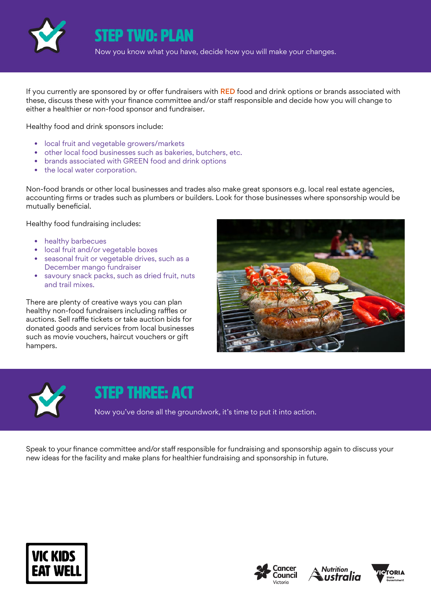

Step two: plan

Now you know what you have, decide how you will make your changes.

If you currently are sponsored by or offer fundraisers with RED food and drink options or brands associated with these, discuss these with your finance committee and/or staff responsible and decide how you will change to either a healthier or non-food sponsor and fundraiser.

Healthy food and drink sponsors include:

- local fruit and vegetable growers/markets
- other local food businesses such as bakeries, butchers, etc.
- brands associated with GREEN food and drink options
- the local water corporation.

Non-food brands or other local businesses and trades also make great sponsors e.g. local real estate agencies, accounting firms or trades such as plumbers or builders. Look for those businesses where sponsorship would be mutually beneficial.

Healthy food fundraising includes:

- healthy barbecues
- local fruit and/or vegetable boxes
- seasonal fruit or vegetable drives, such as a December mango fundraiser
- savoury snack packs, such as dried fruit, nuts and trail mixes.

There are plenty of creative ways you can plan healthy non-food fundraisers including raffles or auctions. Sell raffle tickets or take auction bids for donated goods and services from local businesses such as movie vouchers, haircut vouchers or gift hampers.





#### STEP THREE: ACT

Now you've done all the groundwork, it's time to put it into action.

Speak to your finance committee and/or staff responsible for fundraising and sponsorship again to discuss your new ideas for the facility and make plans for healthier fundraising and sponsorship in future.







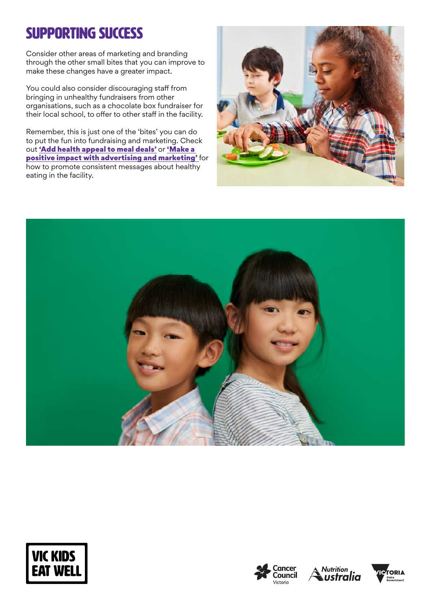## SUPPORTING SUCCESS

Consider other areas of marketing and branding through the other small bites that you can improve to make these changes have a greater impact.

You could also consider discouraging staff from bringing in unhealthy fundraisers from other organisations, such as a chocolate box fundraiser for their local school, to offer to other staff in the facility.

Remember, this is just one of the 'bites' you can do to put the fun into fundraising and marketing. Check out ['Add health appeal to meal deals'](https://www.vickidseatwell.health.vic.gov.au/resources) or ['Make a](https://www.vickidseatwell.health.vic.gov.au/resources)  [positive impact with advertising and marketing'](https://www.vickidseatwell.health.vic.gov.au/resources) for how to promote consistent messages about healthy eating in the facility.